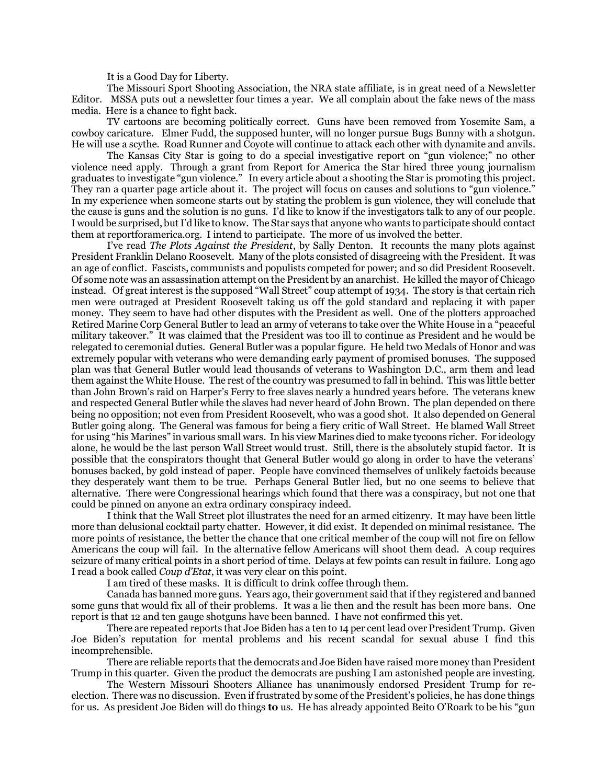It is a Good Day for Liberty.

The Missouri Sport Shooting Association, the NRA state affiliate, is in great need of a Newsletter Editor. MSSA puts out a newsletter four times a year. We all complain about the fake news of the mass media. Here is a chance to fight back.

TV cartoons are becoming politically correct. Guns have been removed from Yosemite Sam, a cowboy caricature. Elmer Fudd, the supposed hunter, will no longer pursue Bugs Bunny with a shotgun. He will use a scythe. Road Runner and Coyote will continue to attack each other with dynamite and anvils.

The Kansas City Star is going to do a special investigative report on "gun violence;" no other violence need apply. Through a grant from Report for America the Star hired three young journalism graduates to investigate "gun violence." In every article about a shooting the Star is promoting this project. They ran a quarter page article about it. The project will focus on causes and solutions to "gun violence." In my experience when someone starts out by stating the problem is gun violence, they will conclude that the cause is guns and the solution is no guns. I'd like to know if the investigators talk to any of our people. I would be surprised, but I'd like to know. The Star says that anyone who wants to participate should contact them at reportforamerica.org. I intend to participate. The more of us involved the better.

I've read *The Plots Against the President*, by Sally Denton. It recounts the many plots against President Franklin Delano Roosevelt. Many of the plots consisted of disagreeing with the President. It was an age of conflict. Fascists, communists and populists competed for power; and so did President Roosevelt. Of some note was an assassination attempt on the President by an anarchist. He killed the mayor of Chicago instead. Of great interest is the supposed "Wall Street" coup attempt of 1934. The story is that certain rich men were outraged at President Roosevelt taking us off the gold standard and replacing it with paper money. They seem to have had other disputes with the President as well. One of the plotters approached Retired Marine Corp General Butler to lead an army of veterans to take over the White House in a "peaceful military takeover." It was claimed that the President was too ill to continue as President and he would be relegated to ceremonial duties. General Butler was a popular figure. He held two Medals of Honor and was extremely popular with veterans who were demanding early payment of promised bonuses. The supposed plan was that General Butler would lead thousands of veterans to Washington D.C., arm them and lead them against the White House. The rest of the country was presumed to fall in behind. This was little better than John Brown's raid on Harper's Ferry to free slaves nearly a hundred years before. The veterans knew and respected General Butler while the slaves had never heard of John Brown. The plan depended on there being no opposition; not even from President Roosevelt, who was a good shot. It also depended on General Butler going along. The General was famous for being a fiery critic of Wall Street. He blamed Wall Street for using "his Marines" in various small wars. In his view Marines died to make tycoons richer. For ideology alone, he would be the last person Wall Street would trust. Still, there is the absolutely stupid factor. It is possible that the conspirators thought that General Butler would go along in order to have the veterans' bonuses backed, by gold instead of paper. People have convinced themselves of unlikely factoids because they desperately want them to be true. Perhaps General Butler lied, but no one seems to believe that alternative. There were Congressional hearings which found that there was a conspiracy, but not one that could be pinned on anyone an extra ordinary conspiracy indeed.

I think that the Wall Street plot illustrates the need for an armed citizenry. It may have been little more than delusional cocktail party chatter. However, it did exist. It depended on minimal resistance. The more points of resistance, the better the chance that one critical member of the coup will not fire on fellow Americans the coup will fail. In the alternative fellow Americans will shoot them dead. A coup requires seizure of many critical points in a short period of time. Delays at few points can result in failure. Long ago I read a book called *Coup d'Etat*, it was very clear on this point.

I am tired of these masks. It is difficult to drink coffee through them.

Canada has banned more guns. Years ago, their government said that if they registered and banned some guns that would fix all of their problems. It was a lie then and the result has been more bans. One report is that 12 and ten gauge shotguns have been banned. I have not confirmed this yet.

There are repeated reports that Joe Biden has a ten to 14 per cent lead over President Trump. Given Joe Biden's reputation for mental problems and his recent scandal for sexual abuse I find this incomprehensible.

There are reliable reports that the democrats and Joe Biden have raised more money than President Trump in this quarter. Given the product the democrats are pushing I am astonished people are investing.

The Western Missouri Shooters Alliance has unanimously endorsed President Trump for reelection. There was no discussion. Even if frustrated by some of the President's policies, he has done things for us. As president Joe Biden will do things **to** us. He has already appointed Beito O'Roark to be his "gun